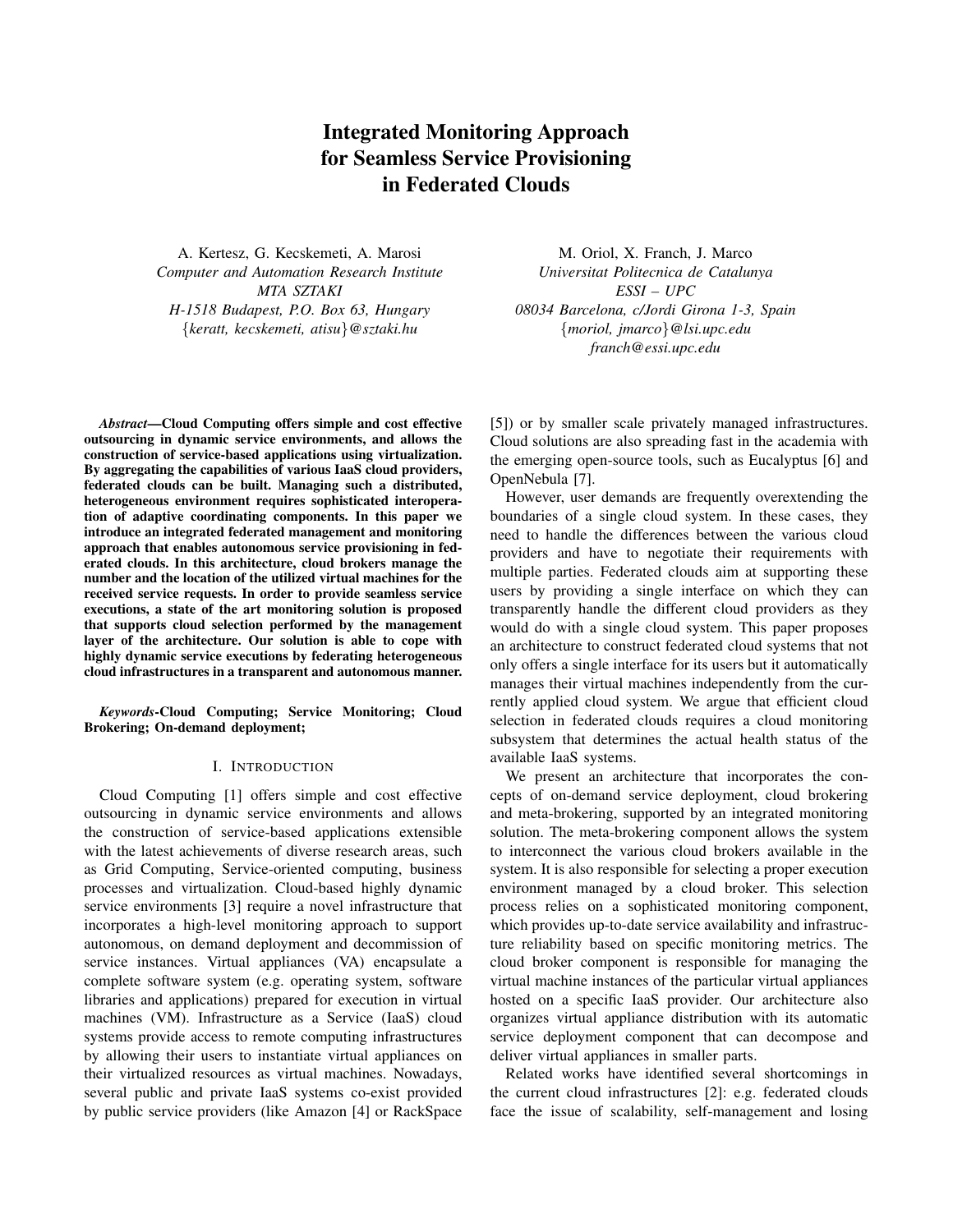# Integrated Monitoring Approach for Seamless Service Provisioning in Federated Clouds

A. Kertesz, G. Kecskemeti, A. Marosi *Computer and Automation Research Institute MTA SZTAKI H-1518 Budapest, P.O. Box 63, Hungary* {*keratt, kecskemeti, atisu*}*@sztaki.hu*

*Abstract*—Cloud Computing offers simple and cost effective outsourcing in dynamic service environments, and allows the construction of service-based applications using virtualization. By aggregating the capabilities of various IaaS cloud providers, federated clouds can be built. Managing such a distributed, heterogeneous environment requires sophisticated interoperation of adaptive coordinating components. In this paper we introduce an integrated federated management and monitoring approach that enables autonomous service provisioning in federated clouds. In this architecture, cloud brokers manage the number and the location of the utilized virtual machines for the received service requests. In order to provide seamless service executions, a state of the art monitoring solution is proposed that supports cloud selection performed by the management layer of the architecture. Our solution is able to cope with highly dynamic service executions by federating heterogeneous cloud infrastructures in a transparent and autonomous manner.

*Keywords*-Cloud Computing; Service Monitoring; Cloud Brokering; On-demand deployment;

### I. INTRODUCTION

Cloud Computing [1] offers simple and cost effective outsourcing in dynamic service environments and allows the construction of service-based applications extensible with the latest achievements of diverse research areas, such as Grid Computing, Service-oriented computing, business processes and virtualization. Cloud-based highly dynamic service environments [3] require a novel infrastructure that incorporates a high-level monitoring approach to support autonomous, on demand deployment and decommission of service instances. Virtual appliances (VA) encapsulate a complete software system (e.g. operating system, software libraries and applications) prepared for execution in virtual machines (VM). Infrastructure as a Service (IaaS) cloud systems provide access to remote computing infrastructures by allowing their users to instantiate virtual appliances on their virtualized resources as virtual machines. Nowadays, several public and private IaaS systems co-exist provided by public service providers (like Amazon [4] or RackSpace

M. Oriol, X. Franch, J. Marco *Universitat Politecnica de Catalunya ESSI – UPC 08034 Barcelona, c/Jordi Girona 1-3, Spain* {*moriol, jmarco*}*@lsi.upc.edu franch@essi.upc.edu*

[5]) or by smaller scale privately managed infrastructures. Cloud solutions are also spreading fast in the academia with the emerging open-source tools, such as Eucalyptus [6] and OpenNebula [7].

However, user demands are frequently overextending the boundaries of a single cloud system. In these cases, they need to handle the differences between the various cloud providers and have to negotiate their requirements with multiple parties. Federated clouds aim at supporting these users by providing a single interface on which they can transparently handle the different cloud providers as they would do with a single cloud system. This paper proposes an architecture to construct federated cloud systems that not only offers a single interface for its users but it automatically manages their virtual machines independently from the currently applied cloud system. We argue that efficient cloud selection in federated clouds requires a cloud monitoring subsystem that determines the actual health status of the available IaaS systems.

We present an architecture that incorporates the concepts of on-demand service deployment, cloud brokering and meta-brokering, supported by an integrated monitoring solution. The meta-brokering component allows the system to interconnect the various cloud brokers available in the system. It is also responsible for selecting a proper execution environment managed by a cloud broker. This selection process relies on a sophisticated monitoring component, which provides up-to-date service availability and infrastructure reliability based on specific monitoring metrics. The cloud broker component is responsible for managing the virtual machine instances of the particular virtual appliances hosted on a specific IaaS provider. Our architecture also organizes virtual appliance distribution with its automatic service deployment component that can decompose and deliver virtual appliances in smaller parts.

Related works have identified several shortcomings in the current cloud infrastructures [2]: e.g. federated clouds face the issue of scalability, self-management and losing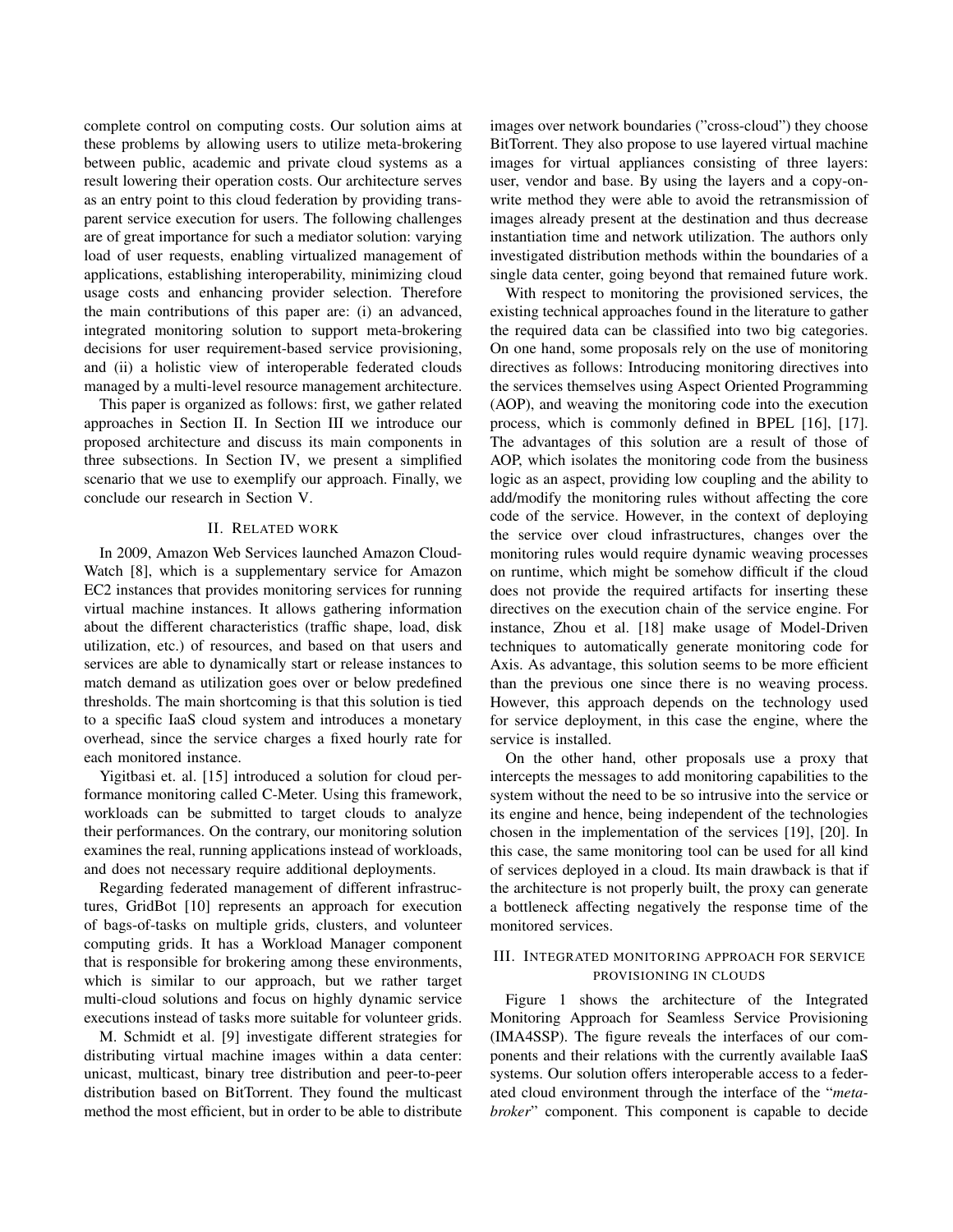complete control on computing costs. Our solution aims at these problems by allowing users to utilize meta-brokering between public, academic and private cloud systems as a result lowering their operation costs. Our architecture serves as an entry point to this cloud federation by providing transparent service execution for users. The following challenges are of great importance for such a mediator solution: varying load of user requests, enabling virtualized management of applications, establishing interoperability, minimizing cloud usage costs and enhancing provider selection. Therefore the main contributions of this paper are: (i) an advanced, integrated monitoring solution to support meta-brokering decisions for user requirement-based service provisioning, and (ii) a holistic view of interoperable federated clouds managed by a multi-level resource management architecture.

This paper is organized as follows: first, we gather related approaches in Section II. In Section III we introduce our proposed architecture and discuss its main components in three subsections. In Section IV, we present a simplified scenario that we use to exemplify our approach. Finally, we conclude our research in Section V.

## II. RELATED WORK

In 2009, Amazon Web Services launched Amazon Cloud-Watch [8], which is a supplementary service for Amazon EC2 instances that provides monitoring services for running virtual machine instances. It allows gathering information about the different characteristics (traffic shape, load, disk utilization, etc.) of resources, and based on that users and services are able to dynamically start or release instances to match demand as utilization goes over or below predefined thresholds. The main shortcoming is that this solution is tied to a specific IaaS cloud system and introduces a monetary overhead, since the service charges a fixed hourly rate for each monitored instance.

Yigitbasi et. al. [15] introduced a solution for cloud performance monitoring called C-Meter. Using this framework, workloads can be submitted to target clouds to analyze their performances. On the contrary, our monitoring solution examines the real, running applications instead of workloads, and does not necessary require additional deployments.

Regarding federated management of different infrastructures, GridBot [10] represents an approach for execution of bags-of-tasks on multiple grids, clusters, and volunteer computing grids. It has a Workload Manager component that is responsible for brokering among these environments, which is similar to our approach, but we rather target multi-cloud solutions and focus on highly dynamic service executions instead of tasks more suitable for volunteer grids.

M. Schmidt et al. [9] investigate different strategies for distributing virtual machine images within a data center: unicast, multicast, binary tree distribution and peer-to-peer distribution based on BitTorrent. They found the multicast method the most efficient, but in order to be able to distribute images over network boundaries ("cross-cloud") they choose BitTorrent. They also propose to use layered virtual machine images for virtual appliances consisting of three layers: user, vendor and base. By using the layers and a copy-onwrite method they were able to avoid the retransmission of images already present at the destination and thus decrease instantiation time and network utilization. The authors only investigated distribution methods within the boundaries of a single data center, going beyond that remained future work.

With respect to monitoring the provisioned services, the existing technical approaches found in the literature to gather the required data can be classified into two big categories. On one hand, some proposals rely on the use of monitoring directives as follows: Introducing monitoring directives into the services themselves using Aspect Oriented Programming (AOP), and weaving the monitoring code into the execution process, which is commonly defined in BPEL [16], [17]. The advantages of this solution are a result of those of AOP, which isolates the monitoring code from the business logic as an aspect, providing low coupling and the ability to add/modify the monitoring rules without affecting the core code of the service. However, in the context of deploying the service over cloud infrastructures, changes over the monitoring rules would require dynamic weaving processes on runtime, which might be somehow difficult if the cloud does not provide the required artifacts for inserting these directives on the execution chain of the service engine. For instance, Zhou et al. [18] make usage of Model-Driven techniques to automatically generate monitoring code for Axis. As advantage, this solution seems to be more efficient than the previous one since there is no weaving process. However, this approach depends on the technology used for service deployment, in this case the engine, where the service is installed.

On the other hand, other proposals use a proxy that intercepts the messages to add monitoring capabilities to the system without the need to be so intrusive into the service or its engine and hence, being independent of the technologies chosen in the implementation of the services [19], [20]. In this case, the same monitoring tool can be used for all kind of services deployed in a cloud. Its main drawback is that if the architecture is not properly built, the proxy can generate a bottleneck affecting negatively the response time of the monitored services.

# III. INTEGRATED MONITORING APPROACH FOR SERVICE PROVISIONING IN CLOUDS

Figure 1 shows the architecture of the Integrated Monitoring Approach for Seamless Service Provisioning (IMA4SSP). The figure reveals the interfaces of our components and their relations with the currently available IaaS systems. Our solution offers interoperable access to a federated cloud environment through the interface of the "*metabroker*" component. This component is capable to decide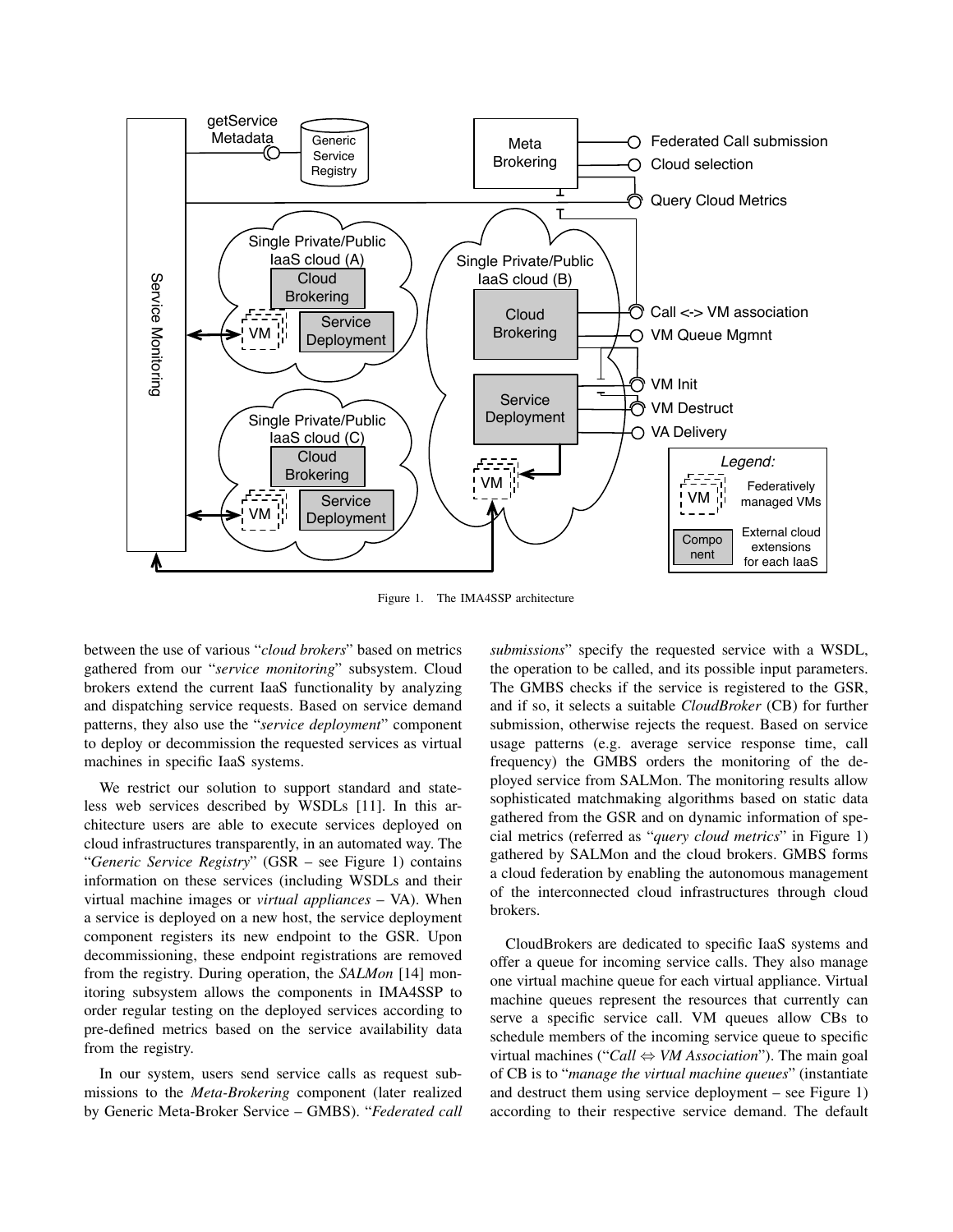

Figure 1. The IMA4SSP architecture

between the use of various "*cloud brokers*" based on metrics gathered from our "*service monitoring*" subsystem. Cloud brokers extend the current IaaS functionality by analyzing and dispatching service requests. Based on service demand patterns, they also use the "*service deployment*" component to deploy or decommission the requested services as virtual machines in specific IaaS systems.

We restrict our solution to support standard and stateless web services described by WSDLs [11]. In this architecture users are able to execute services deployed on cloud infrastructures transparently, in an automated way. The "*Generic Service Registry*" (GSR – see Figure 1) contains information on these services (including WSDLs and their virtual machine images or *virtual appliances* – VA). When a service is deployed on a new host, the service deployment component registers its new endpoint to the GSR. Upon decommissioning, these endpoint registrations are removed from the registry. During operation, the *SALMon* [14] monitoring subsystem allows the components in IMA4SSP to order regular testing on the deployed services according to pre-defined metrics based on the service availability data from the registry.

In our system, users send service calls as request submissions to the *Meta-Brokering* component (later realized by Generic Meta-Broker Service – GMBS). "*Federated call* *submissions*" specify the requested service with a WSDL, the operation to be called, and its possible input parameters. The GMBS checks if the service is registered to the GSR, and if so, it selects a suitable *CloudBroker* (CB) for further submission, otherwise rejects the request. Based on service usage patterns (e.g. average service response time, call frequency) the GMBS orders the monitoring of the deployed service from SALMon. The monitoring results allow sophisticated matchmaking algorithms based on static data gathered from the GSR and on dynamic information of special metrics (referred as "*query cloud metrics*" in Figure 1) gathered by SALMon and the cloud brokers. GMBS forms a cloud federation by enabling the autonomous management of the interconnected cloud infrastructures through cloud brokers.

CloudBrokers are dedicated to specific IaaS systems and offer a queue for incoming service calls. They also manage one virtual machine queue for each virtual appliance. Virtual machine queues represent the resources that currently can serve a specific service call. VM queues allow CBs to schedule members of the incoming service queue to specific virtual machines ("*Call* ⇔ *VM Association*"). The main goal of CB is to "*manage the virtual machine queues*" (instantiate and destruct them using service deployment – see Figure 1) according to their respective service demand. The default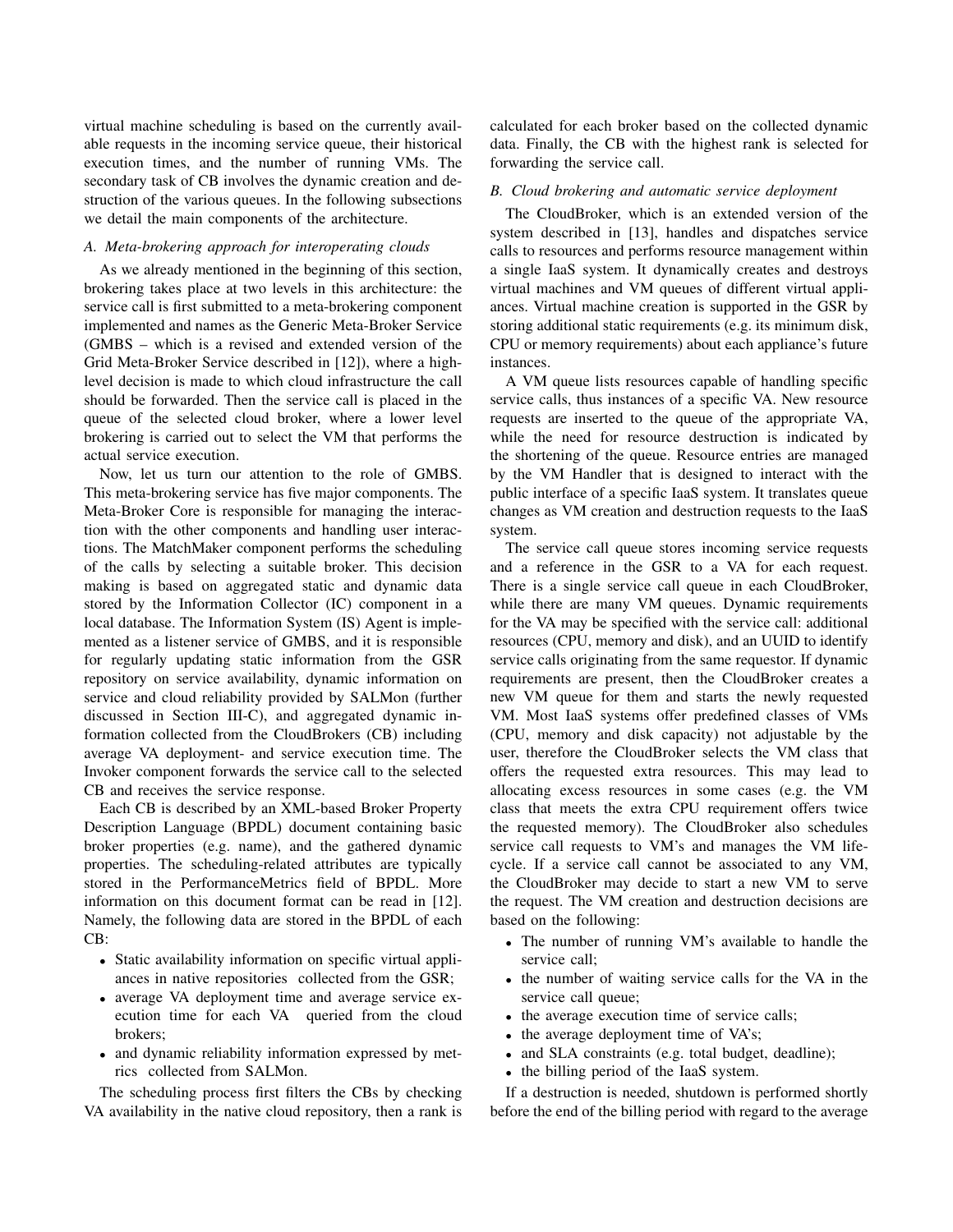virtual machine scheduling is based on the currently available requests in the incoming service queue, their historical execution times, and the number of running VMs. The secondary task of CB involves the dynamic creation and destruction of the various queues. In the following subsections we detail the main components of the architecture.

# *A. Meta-brokering approach for interoperating clouds*

As we already mentioned in the beginning of this section, brokering takes place at two levels in this architecture: the service call is first submitted to a meta-brokering component implemented and names as the Generic Meta-Broker Service (GMBS – which is a revised and extended version of the Grid Meta-Broker Service described in [12]), where a highlevel decision is made to which cloud infrastructure the call should be forwarded. Then the service call is placed in the queue of the selected cloud broker, where a lower level brokering is carried out to select the VM that performs the actual service execution.

Now, let us turn our attention to the role of GMBS. This meta-brokering service has five major components. The Meta-Broker Core is responsible for managing the interaction with the other components and handling user interactions. The MatchMaker component performs the scheduling of the calls by selecting a suitable broker. This decision making is based on aggregated static and dynamic data stored by the Information Collector (IC) component in a local database. The Information System (IS) Agent is implemented as a listener service of GMBS, and it is responsible for regularly updating static information from the GSR repository on service availability, dynamic information on service and cloud reliability provided by SALMon (further discussed in Section III-C), and aggregated dynamic information collected from the CloudBrokers (CB) including average VA deployment- and service execution time. The Invoker component forwards the service call to the selected CB and receives the service response.

Each CB is described by an XML-based Broker Property Description Language (BPDL) document containing basic broker properties (e.g. name), and the gathered dynamic properties. The scheduling-related attributes are typically stored in the PerformanceMetrics field of BPDL. More information on this document format can be read in [12]. Namely, the following data are stored in the BPDL of each CB:

- Static availability information on specific virtual appliances in native repositories collected from the GSR;
- average VA deployment time and average service execution time for each VA queried from the cloud brokers;
- and dynamic reliability information expressed by metrics collected from SALMon.

The scheduling process first filters the CBs by checking VA availability in the native cloud repository, then a rank is calculated for each broker based on the collected dynamic data. Finally, the CB with the highest rank is selected for forwarding the service call.

## *B. Cloud brokering and automatic service deployment*

The CloudBroker, which is an extended version of the system described in [13], handles and dispatches service calls to resources and performs resource management within a single IaaS system. It dynamically creates and destroys virtual machines and VM queues of different virtual appliances. Virtual machine creation is supported in the GSR by storing additional static requirements (e.g. its minimum disk, CPU or memory requirements) about each appliance's future instances.

A VM queue lists resources capable of handling specific service calls, thus instances of a specific VA. New resource requests are inserted to the queue of the appropriate VA, while the need for resource destruction is indicated by the shortening of the queue. Resource entries are managed by the VM Handler that is designed to interact with the public interface of a specific IaaS system. It translates queue changes as VM creation and destruction requests to the IaaS system.

The service call queue stores incoming service requests and a reference in the GSR to a VA for each request. There is a single service call queue in each CloudBroker, while there are many VM queues. Dynamic requirements for the VA may be specified with the service call: additional resources (CPU, memory and disk), and an UUID to identify service calls originating from the same requestor. If dynamic requirements are present, then the CloudBroker creates a new VM queue for them and starts the newly requested VM. Most IaaS systems offer predefined classes of VMs (CPU, memory and disk capacity) not adjustable by the user, therefore the CloudBroker selects the VM class that offers the requested extra resources. This may lead to allocating excess resources in some cases (e.g. the VM class that meets the extra CPU requirement offers twice the requested memory). The CloudBroker also schedules service call requests to VM's and manages the VM lifecycle. If a service call cannot be associated to any VM, the CloudBroker may decide to start a new VM to serve the request. The VM creation and destruction decisions are based on the following:

- The number of running VM's available to handle the service call;
- the number of waiting service calls for the VA in the service call queue;
- the average execution time of service calls;
- the average deployment time of VA's;
- and SLA constraints (e.g. total budget, deadline);
- the billing period of the IaaS system.

If a destruction is needed, shutdown is performed shortly before the end of the billing period with regard to the average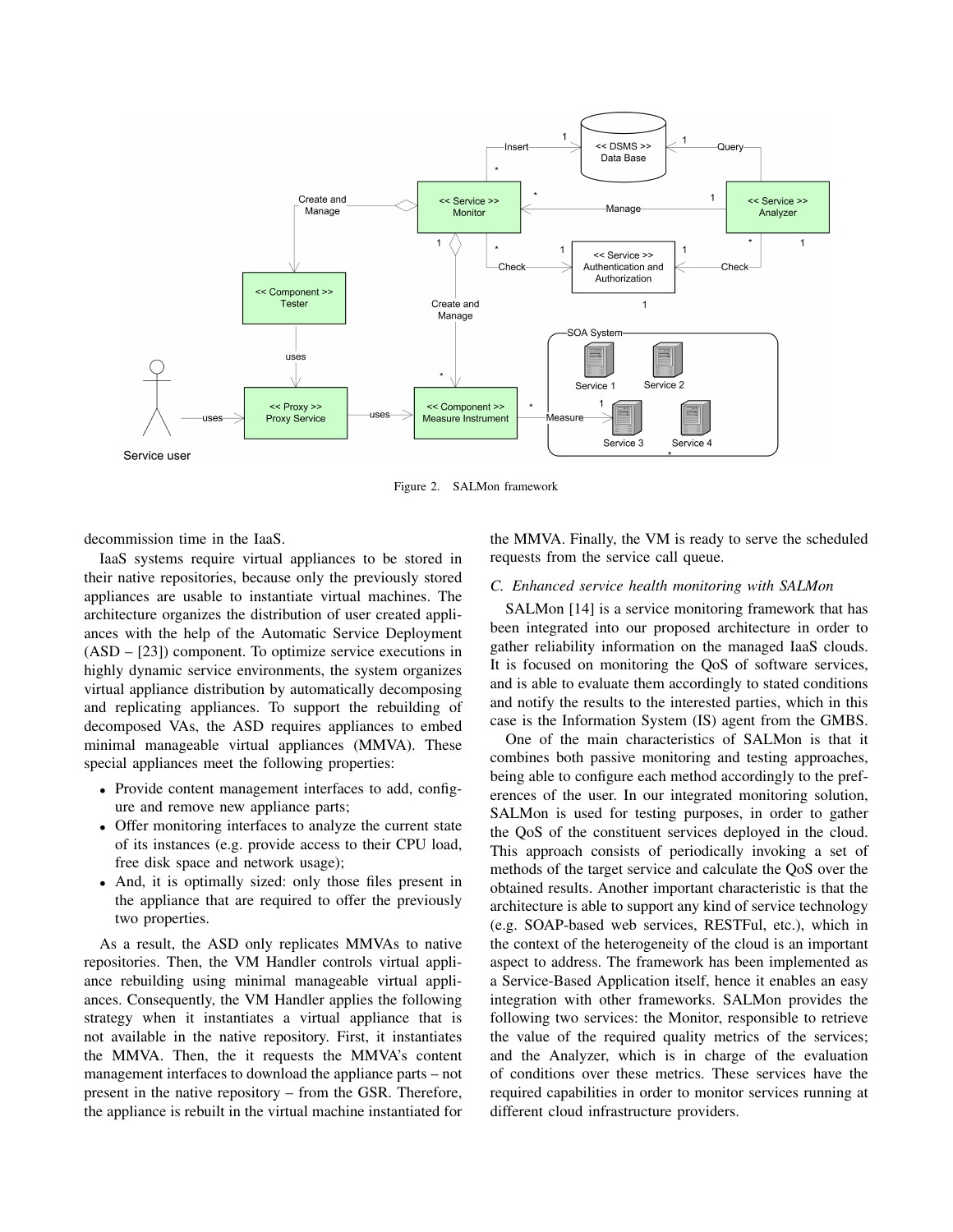

Figure 2. SALMon framework

decommission time in the IaaS.

IaaS systems require virtual appliances to be stored in their native repositories, because only the previously stored appliances are usable to instantiate virtual machines. The architecture organizes the distribution of user created appliances with the help of the Automatic Service Deployment (ASD – [23]) component. To optimize service executions in highly dynamic service environments, the system organizes virtual appliance distribution by automatically decomposing and replicating appliances. To support the rebuilding of decomposed VAs, the ASD requires appliances to embed minimal manageable virtual appliances (MMVA). These special appliances meet the following properties:

- Provide content management interfaces to add, configure and remove new appliance parts;
- Offer monitoring interfaces to analyze the current state of its instances (e.g. provide access to their CPU load, free disk space and network usage);
- And, it is optimally sized: only those files present in the appliance that are required to offer the previously two properties.

As a result, the ASD only replicates MMVAs to native repositories. Then, the VM Handler controls virtual appliance rebuilding using minimal manageable virtual appliances. Consequently, the VM Handler applies the following strategy when it instantiates a virtual appliance that is not available in the native repository. First, it instantiates the MMVA. Then, the it requests the MMVA's content management interfaces to download the appliance parts – not present in the native repository – from the GSR. Therefore, the appliance is rebuilt in the virtual machine instantiated for the MMVA. Finally, the VM is ready to serve the scheduled requests from the service call queue.

#### *C. Enhanced service health monitoring with SALMon*

SALMon [14] is a service monitoring framework that has been integrated into our proposed architecture in order to gather reliability information on the managed IaaS clouds. It is focused on monitoring the QoS of software services, and is able to evaluate them accordingly to stated conditions and notify the results to the interested parties, which in this case is the Information System (IS) agent from the GMBS.

One of the main characteristics of SALMon is that it combines both passive monitoring and testing approaches, being able to configure each method accordingly to the preferences of the user. In our integrated monitoring solution, SALMon is used for testing purposes, in order to gather the QoS of the constituent services deployed in the cloud. This approach consists of periodically invoking a set of methods of the target service and calculate the QoS over the obtained results. Another important characteristic is that the architecture is able to support any kind of service technology (e.g. SOAP-based web services, RESTFul, etc.), which in the context of the heterogeneity of the cloud is an important aspect to address. The framework has been implemented as a Service-Based Application itself, hence it enables an easy integration with other frameworks. SALMon provides the following two services: the Monitor, responsible to retrieve the value of the required quality metrics of the services; and the Analyzer, which is in charge of the evaluation of conditions over these metrics. These services have the required capabilities in order to monitor services running at different cloud infrastructure providers.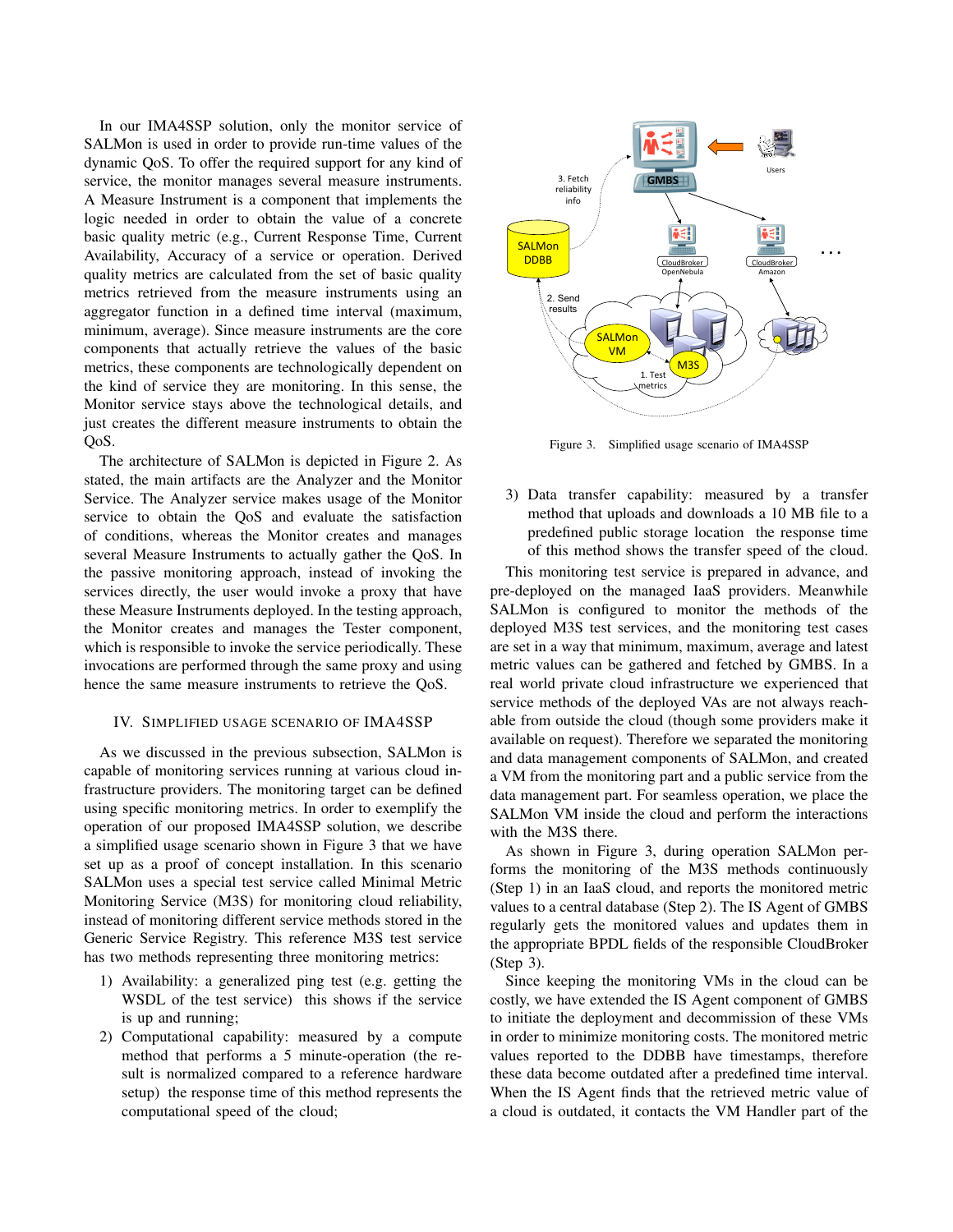In our IMA4SSP solution, only the monitor service of SALMon is used in order to provide run-time values of the dynamic QoS. To offer the required support for any kind of service, the monitor manages several measure instruments. A Measure Instrument is a component that implements the logic needed in order to obtain the value of a concrete basic quality metric (e.g., Current Response Time, Current Availability, Accuracy of a service or operation. Derived quality metrics are calculated from the set of basic quality metrics retrieved from the measure instruments using an aggregator function in a defined time interval (maximum, minimum, average). Since measure instruments are the core components that actually retrieve the values of the basic metrics, these components are technologically dependent on the kind of service they are monitoring. In this sense, the Monitor service stays above the technological details, and just creates the different measure instruments to obtain the QoS.

The architecture of SALMon is depicted in Figure 2. As stated, the main artifacts are the Analyzer and the Monitor Service. The Analyzer service makes usage of the Monitor service to obtain the QoS and evaluate the satisfaction of conditions, whereas the Monitor creates and manages several Measure Instruments to actually gather the QoS. In the passive monitoring approach, instead of invoking the services directly, the user would invoke a proxy that have these Measure Instruments deployed. In the testing approach, the Monitor creates and manages the Tester component, which is responsible to invoke the service periodically. These invocations are performed through the same proxy and using hence the same measure instruments to retrieve the QoS.

## IV. SIMPLIFIED USAGE SCENARIO OF IMA4SSP

As we discussed in the previous subsection, SALMon is capable of monitoring services running at various cloud infrastructure providers. The monitoring target can be defined using specific monitoring metrics. In order to exemplify the operation of our proposed IMA4SSP solution, we describe a simplified usage scenario shown in Figure 3 that we have set up as a proof of concept installation. In this scenario SALMon uses a special test service called Minimal Metric Monitoring Service (M3S) for monitoring cloud reliability, instead of monitoring different service methods stored in the Generic Service Registry. This reference M3S test service has two methods representing three monitoring metrics:

- 1) Availability: a generalized ping test (e.g. getting the WSDL of the test service) this shows if the service is up and running;
- 2) Computational capability: measured by a compute method that performs a 5 minute-operation (the result is normalized compared to a reference hardware setup) the response time of this method represents the computational speed of the cloud;



Figure 3. Simplified usage scenario of IMA4SSP

3) Data transfer capability: measured by a transfer method that uploads and downloads a 10 MB file to a predefined public storage location the response time of this method shows the transfer speed of the cloud.

This monitoring test service is prepared in advance, and pre-deployed on the managed IaaS providers. Meanwhile SALMon is configured to monitor the methods of the deployed M3S test services, and the monitoring test cases are set in a way that minimum, maximum, average and latest metric values can be gathered and fetched by GMBS. In a real world private cloud infrastructure we experienced that service methods of the deployed VAs are not always reachable from outside the cloud (though some providers make it available on request). Therefore we separated the monitoring and data management components of SALMon, and created a VM from the monitoring part and a public service from the data management part. For seamless operation, we place the SALMon VM inside the cloud and perform the interactions with the M3S there.

As shown in Figure 3, during operation SALMon performs the monitoring of the M3S methods continuously (Step 1) in an IaaS cloud, and reports the monitored metric values to a central database (Step 2). The IS Agent of GMBS regularly gets the monitored values and updates them in the appropriate BPDL fields of the responsible CloudBroker (Step 3).

Since keeping the monitoring VMs in the cloud can be costly, we have extended the IS Agent component of GMBS to initiate the deployment and decommission of these VMs in order to minimize monitoring costs. The monitored metric values reported to the DDBB have timestamps, therefore these data become outdated after a predefined time interval. When the IS Agent finds that the retrieved metric value of a cloud is outdated, it contacts the VM Handler part of the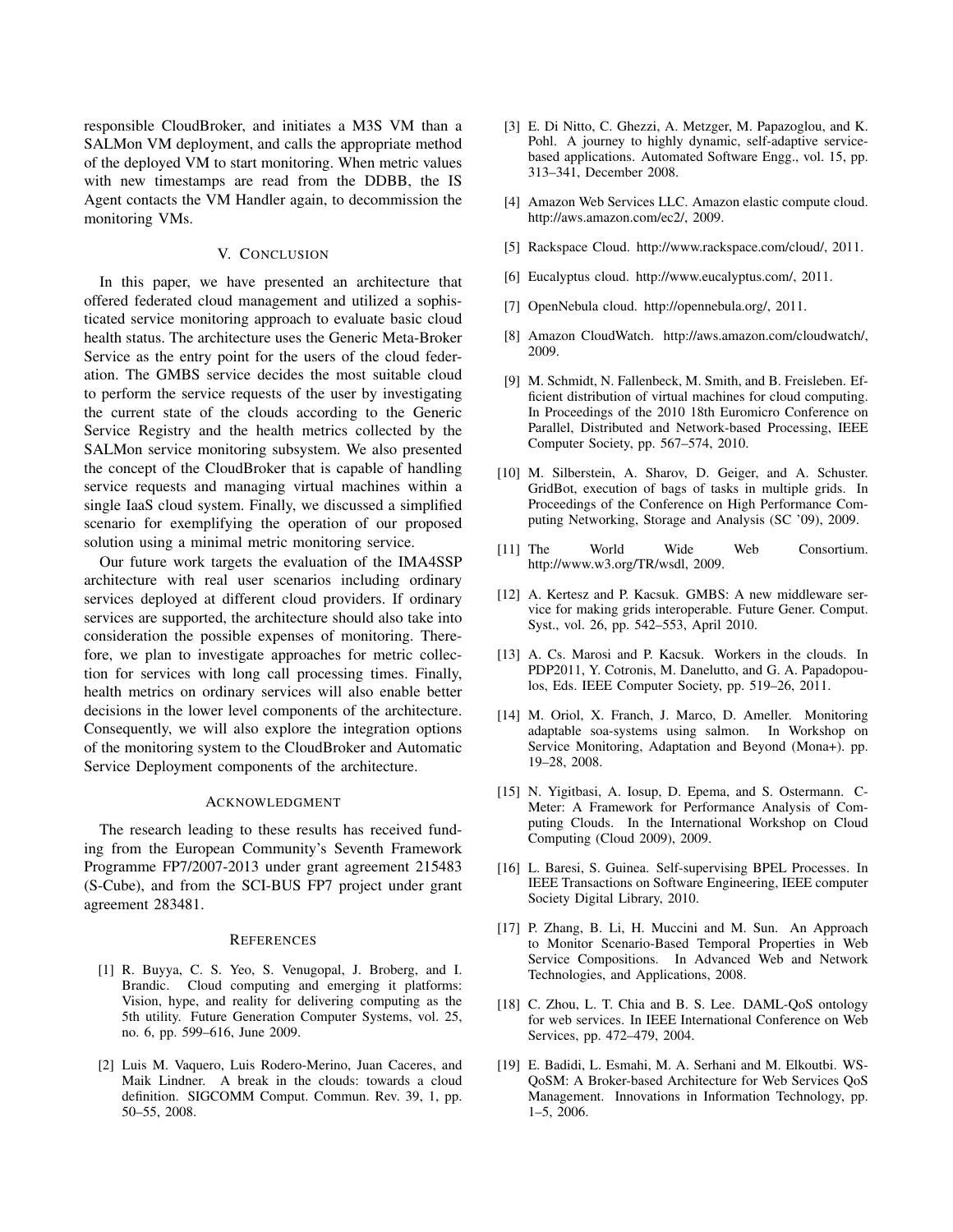responsible CloudBroker, and initiates a M3S VM than a SALMon VM deployment, and calls the appropriate method of the deployed VM to start monitoring. When metric values with new timestamps are read from the DDBB, the IS Agent contacts the VM Handler again, to decommission the monitoring VMs.

## V. CONCLUSION

In this paper, we have presented an architecture that offered federated cloud management and utilized a sophisticated service monitoring approach to evaluate basic cloud health status. The architecture uses the Generic Meta-Broker Service as the entry point for the users of the cloud federation. The GMBS service decides the most suitable cloud to perform the service requests of the user by investigating the current state of the clouds according to the Generic Service Registry and the health metrics collected by the SALMon service monitoring subsystem. We also presented the concept of the CloudBroker that is capable of handling service requests and managing virtual machines within a single IaaS cloud system. Finally, we discussed a simplified scenario for exemplifying the operation of our proposed solution using a minimal metric monitoring service.

Our future work targets the evaluation of the IMA4SSP architecture with real user scenarios including ordinary services deployed at different cloud providers. If ordinary services are supported, the architecture should also take into consideration the possible expenses of monitoring. Therefore, we plan to investigate approaches for metric collection for services with long call processing times. Finally, health metrics on ordinary services will also enable better decisions in the lower level components of the architecture. Consequently, we will also explore the integration options of the monitoring system to the CloudBroker and Automatic Service Deployment components of the architecture.

## ACKNOWLEDGMENT

The research leading to these results has received funding from the European Community's Seventh Framework Programme FP7/2007-2013 under grant agreement 215483 (S-Cube), and from the SCI-BUS FP7 project under grant agreement 283481.

#### **REFERENCES**

- [1] R. Buyya, C. S. Yeo, S. Venugopal, J. Broberg, and I. Brandic. Cloud computing and emerging it platforms: Vision, hype, and reality for delivering computing as the 5th utility. Future Generation Computer Systems, vol. 25, no. 6, pp. 599–616, June 2009.
- [2] Luis M. Vaquero, Luis Rodero-Merino, Juan Caceres, and Maik Lindner. A break in the clouds: towards a cloud definition. SIGCOMM Comput. Commun. Rev. 39, 1, pp. 50–55, 2008.
- [3] E. Di Nitto, C. Ghezzi, A. Metzger, M. Papazoglou, and K. Pohl. A journey to highly dynamic, self-adaptive servicebased applications. Automated Software Engg., vol. 15, pp. 313–341, December 2008.
- [4] Amazon Web Services LLC. Amazon elastic compute cloud. http://aws.amazon.com/ec2/, 2009.
- [5] Rackspace Cloud. http://www.rackspace.com/cloud/, 2011.
- [6] Eucalyptus cloud. http://www.eucalyptus.com/, 2011.
- [7] OpenNebula cloud. http://opennebula.org/, 2011.
- [8] Amazon CloudWatch. http://aws.amazon.com/cloudwatch/, 2009.
- [9] M. Schmidt, N. Fallenbeck, M. Smith, and B. Freisleben. Efficient distribution of virtual machines for cloud computing. In Proceedings of the 2010 18th Euromicro Conference on Parallel, Distributed and Network-based Processing, IEEE Computer Society, pp. 567–574, 2010.
- [10] M. Silberstein, A. Sharov, D. Geiger, and A. Schuster. GridBot, execution of bags of tasks in multiple grids. In Proceedings of the Conference on High Performance Computing Networking, Storage and Analysis (SC '09), 2009.
- [11] The World Wide Web Consortium. http://www.w3.org/TR/wsdl, 2009.
- [12] A. Kertesz and P. Kacsuk. GMBS: A new middleware service for making grids interoperable. Future Gener. Comput. Syst., vol. 26, pp. 542–553, April 2010.
- [13] A. Cs. Marosi and P. Kacsuk. Workers in the clouds. In PDP2011, Y. Cotronis, M. Danelutto, and G. A. Papadopoulos, Eds. IEEE Computer Society, pp. 519–26, 2011.
- [14] M. Oriol, X. Franch, J. Marco, D. Ameller. Monitoring adaptable soa-systems using salmon. In Workshop on Service Monitoring, Adaptation and Beyond (Mona+). pp. 19–28, 2008.
- [15] N. Yigitbasi, A. Iosup, D. Epema, and S. Ostermann. C-Meter: A Framework for Performance Analysis of Computing Clouds. In the International Workshop on Cloud Computing (Cloud 2009), 2009.
- [16] L. Baresi, S. Guinea. Self-supervising BPEL Processes. In IEEE Transactions on Software Engineering, IEEE computer Society Digital Library, 2010.
- [17] P. Zhang, B. Li, H. Muccini and M. Sun. An Approach to Monitor Scenario-Based Temporal Properties in Web Service Compositions. In Advanced Web and Network Technologies, and Applications, 2008.
- [18] C. Zhou, L. T. Chia and B. S. Lee. DAML-QoS ontology for web services. In IEEE International Conference on Web Services, pp. 472–479, 2004.
- [19] E. Badidi, L. Esmahi, M. A. Serhani and M. Elkoutbi. WS-QoSM: A Broker-based Architecture for Web Services QoS Management. Innovations in Information Technology, pp. 1–5, 2006.